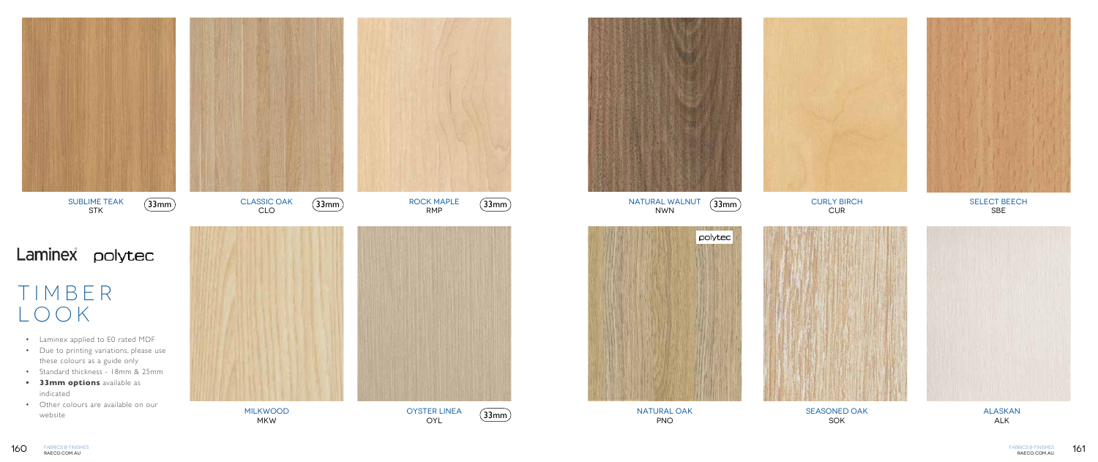

SOK

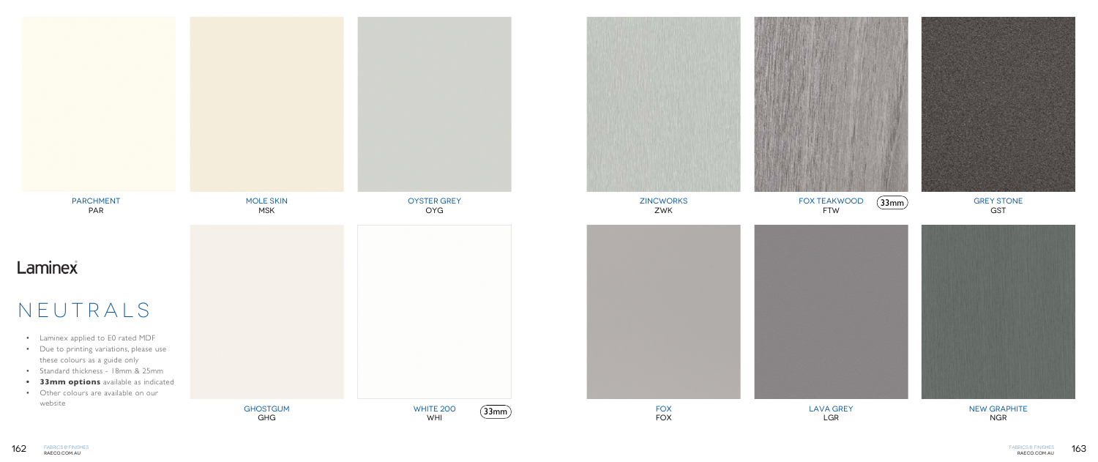

LGR